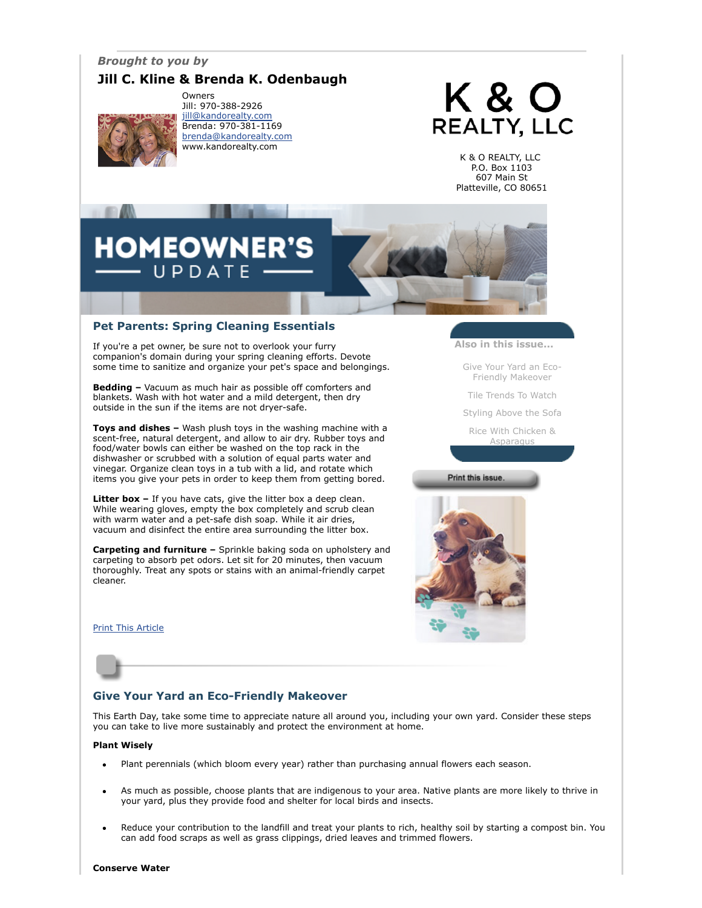# *Brought to you by*

# **Jill C. Kline & Brenda K. Odenbaugh**



Owners Jill: 970-388-2926 [jill@kandorealty.com](mailto:jill@kandorealty.com) Brenda: 970-381-1169 [brenda@kandorealty.com](mailto:brenda@kandorealty.com) www.kandorealty.com

# K & O **REALTY, LLC**

K & O REALTY, LLC P.O. Box 1103 607 Main St Platteville, CO 80651

# **DMEOWN**  $P D A T F$

## **Pet Parents: Spring Cleaning Essentials**

If you're a pet owner, be sure not to overlook your furry companion's domain during your spring cleaning efforts. Devote some time to sanitize and organize your pet's space and belongings.

**Bedding –** Vacuum as much hair as possible off comforters and blankets. Wash with hot water and a mild detergent, then dry outside in the sun if the items are not dryer-safe.

**Toys and dishes –** Wash plush toys in the washing machine with a scent-free, natural detergent, and allow to air dry. Rubber toys and food/water bowls can either be washed on the top rack in the dishwasher or scrubbed with a solution of equal parts water and vinegar. Organize clean toys in a tub with a lid, and rotate which items you give your pets in order to keep them from getting bored.

**Litter box -** If you have cats, give the litter box a deep clean. While wearing gloves, empty the box completely and scrub clean with warm water and a pet-safe dish soap. While it air dries, vacuum and disinfect the entire area surrounding the litter box.

**Carpeting and furniture –** Sprinkle baking soda on upholstery and carpeting to absorb pet odors. Let sit for 20 minutes, then vacuum thoroughly. Treat any spots or stains with an animal-friendly carpet cleaner.

[Print This Article](javascript:print();)



[Give Your Yard an Eco-](#page-0-0)Friendly Makeover

[Tile Trends To Watch](#page-1-0)

[Styling Above the Sofa](#page-1-1)

[Rice With Chicken &](#page-1-2) Asparagus

Print this issue.



# <span id="page-0-0"></span>**Give Your Yard an Eco-Friendly Makeover**

This Earth Day, take some time to appreciate nature all around you, including your own yard. Consider these steps you can take to live more sustainably and protect the environment at home.

#### **Plant Wisely**

- Plant perennials (which bloom every year) rather than purchasing annual flowers each season.
- As much as possible, choose plants that are indigenous to your area. Native plants are more likely to thrive in your yard, plus they provide food and shelter for local birds and insects.
- Reduce your contribution to the landfill and treat your plants to rich, healthy soil by starting a compost bin. You can add food scraps as well as grass clippings, dried leaves and trimmed flowers.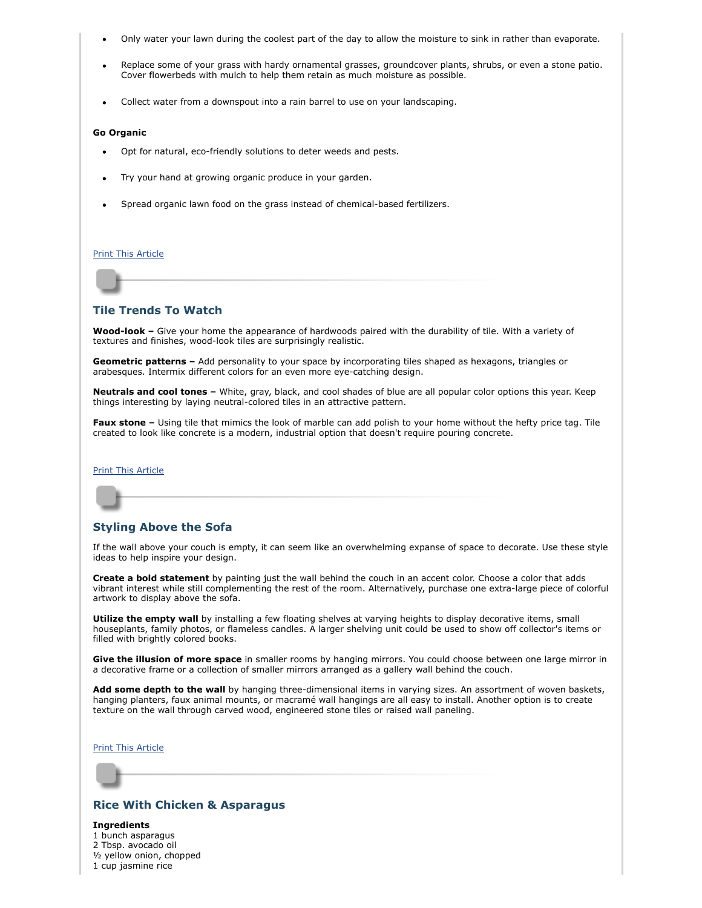- Only water your lawn during the coolest part of the day to allow the moisture to sink in rather than evaporate.
- Replace some of your grass with hardy ornamental grasses, groundcover plants, shrubs, or even a stone patio. Cover flowerbeds with mulch to help them retain as much moisture as possible.
- Collect water from a downspout into a rain barrel to use on your landscaping.

#### **Go Organic**

- Opt for natural, eco-friendly solutions to deter weeds and pests.
- Try your hand at growing organic produce in your garden.
- Spread organic lawn food on the grass instead of chemical-based fertilizers.

#### [Print This Article](javascript:print();)

### <span id="page-1-0"></span>**Tile Trends To Watch**

**Wood-look –** Give your home the appearance of hardwoods paired with the durability of tile. With a variety of textures and finishes, wood-look tiles are surprisingly realistic.

**Geometric patterns –** Add personality to your space by incorporating tiles shaped as hexagons, triangles or arabesques. Intermix different colors for an even more eye-catching design.

**Neutrals and cool tones –** White, gray, black, and cool shades of blue are all popular color options this year. Keep things interesting by laying neutral-colored tiles in an attractive pattern.

**Faux stone –** Using tile that mimics the look of marble can add polish to your home without the hefty price tag. Tile created to look like concrete is a modern, industrial option that doesn't require pouring concrete.

#### [Print This Article](javascript:print();)

# <span id="page-1-1"></span>**Styling Above the Sofa**

If the wall above your couch is empty, it can seem like an overwhelming expanse of space to decorate. Use these style ideas to help inspire your design.

**Create a bold statement** by painting just the wall behind the couch in an accent color. Choose a color that adds vibrant interest while still complementing the rest of the room. Alternatively, purchase one extra-large piece of colorful artwork to display above the sofa.

**Utilize the empty wall** by installing a few floating shelves at varying heights to display decorative items, small houseplants, family photos, or flameless candles. A larger shelving unit could be used to show off collector's items or filled with brightly colored books.

**Give the illusion of more space** in smaller rooms by hanging mirrors. You could choose between one large mirror in a decorative frame or a collection of smaller mirrors arranged as a gallery wall behind the couch.

**Add some depth to the wall** by hanging three-dimensional items in varying sizes. An assortment of woven baskets, hanging planters, faux animal mounts, or macramé wall hangings are all easy to install. Another option is to create texture on the wall through carved wood, engineered stone tiles or raised wall paneling.

#### [Print This Article](javascript:print();)

# <span id="page-1-2"></span>**Rice With Chicken & Asparagus**

**Ingredients**

1 bunch asparagus 2 Tbsp. avocado oil ½ yellow onion, chopped 1 cup jasmine rice